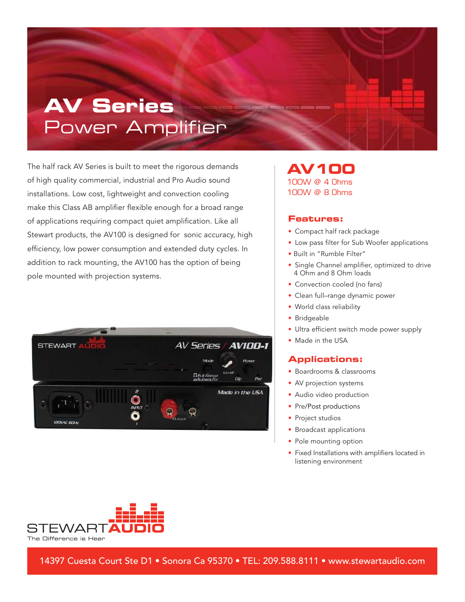# **AV Series** Power Amplifier

The half rack AV Series is built to meet the rigorous demands of high quality commercial, industrial and Pro Audio sound installations. Low cost, lightweight and convection cooling make this Class AB amplifier flexible enough for a broad range of applications requiring compact quiet amplification. Like all Stewart products, the AV100 is designed for sonic accuracy, high efficiency, low power consumption and extended duty cycles. In addition to rack mounting, the AV100 has the option of being pole mounted with projection systems.



### **AV100** 100W @ 4 Ohms 100W @ 8 Ohms

#### **Features:**

- Compact half rack package
- Low pass filter for Sub Woofer applications
- Built in "Rumble Filter"
- Single Channel amplifier, optimized to drive 4 Ohm and 8 Ohm loads
- Convection cooled (no fans)
- Clean full-range dynamic power
- World class reliability
- Bridgeable
- Ultra efficient switch mode power supply
- Made in the USA

#### **Applications:**

- Boardrooms & classrooms
- AV projection systems
- Audio video production
- Pre/Post productions
- Project studios
- Broadcast applications
- Pole mounting option
- Fixed Installations with amplifiers located in listening environment



14397 Cuesta Court Ste D1 • Sonora Ca 95370 • TEL: 209.588.8111 • www.stewartaudio.com